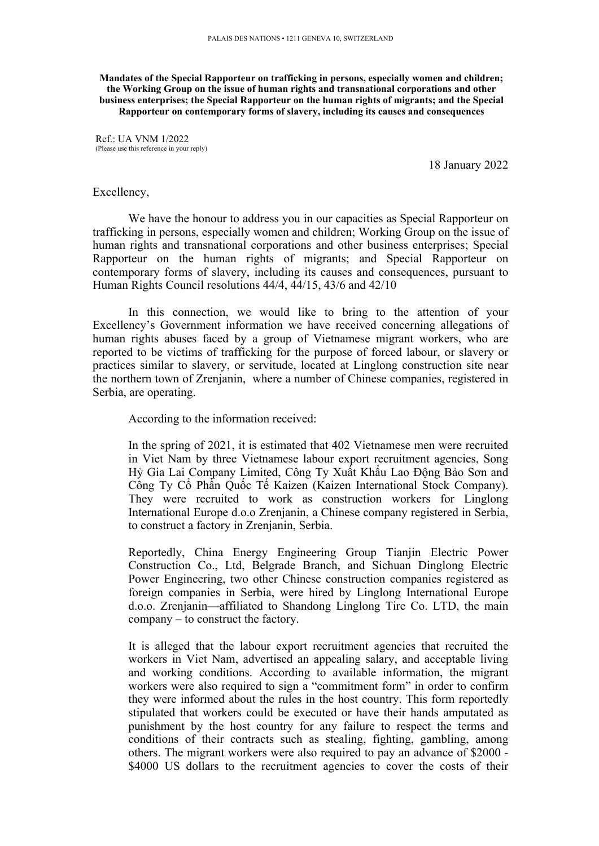**Mandates of the Special Rapporteur on trafficking in persons, especially women and children; the Working Group on the issue of human rights and transnational corporations and other business enterprises; the Special Rapporteur on the human rights of migrants; and the Special Rapporteur on contemporary forms of slavery, including its causes and consequences**

Ref.: UA VNM 1/2022 (Please use this reference in your reply)

18 January 2022

## Excellency,

We have the honour to address you in our capacities as Special Rapporteur on trafficking in persons, especially women and children; Working Group on the issue of human rights and transnational corporations and other business enterprises; Special Rapporteur on the human rights of migrants; and Special Rapporteur on contemporary forms of slavery, including its causes and consequences, pursuan<sup>t</sup> to Human Rights Council resolutions 44/4, 44/15, 43/6 and 42/10

In this connection, we would like to bring to the attention of your Excellency'<sup>s</sup> Government information we have received concerning allegations of human rights abuses faced by <sup>a</sup> group of Vietnamese migrant workers, who are reported to be victims of trafficking for the purpose of forced labour, or slavery or practices similar to slavery, or servitude, located at Linglong construction site near the northern town of Zrenjanin, where <sup>a</sup> number of Chinese companies, registered in Serbia, are operating.

According to the information received:

In the spring of 2021, it is estimated that 402 Vietnamese men were recruited in Viet Nam by three Vietnamese labour expor<sup>t</sup> recruitment agencies, Song <sup>H</sup>ỷ Gia Lai Company Limited, Công Ty Xuấ<sup>t</sup> Khẩ<sup>u</sup> Lao Động <sup>B</sup>ả<sup>o</sup> <sup>S</sup>ơ<sup>n</sup> and Công Ty <sup>C</sup>ổ Phầ<sup>n</sup> Quố<sup>c</sup> <sup>T</sup>ế Kaizen (Kaizen International Stock Company). They were recruited to work as construction workers for Linglong International Europe d.o.o Zrenjanin, <sup>a</sup> Chinese company registered in Serbia, to construct <sup>a</sup> factory in Zrenjanin, Serbia.

Reportedly, China Energy Engineering Group Tianjin Electric Power Construction Co., Ltd, Belgrade Branch, and Sichuan Dinglong Electric Power Engineering, two other Chinese construction companies registered as foreign companies in Serbia, were hired by Linglong International Europe d.o.o. Zrenjanin—affiliated to Shandong Linglong Tire Co. LTD, the main company – to construct the factory.

It is alleged that the labour expor<sup>t</sup> recruitment agencies that recruited the workers in Viet Nam, advertised an appealing salary, and acceptable living and working conditions. According to available information, the migrant workers were also required to sign <sup>a</sup> "commitment form" in order to confirm they were informed about the rules in the host country. This form reportedly stipulated that workers could be executed or have their hands amputated as punishment by the host country for any failure to respec<sup>t</sup> the terms and conditions of their contracts such as stealing, fighting, gambling, among others. The migrant workers were also required to pay an advance of \$2000 - \$4000 US dollars to the recruitment agencies to cover the costs of their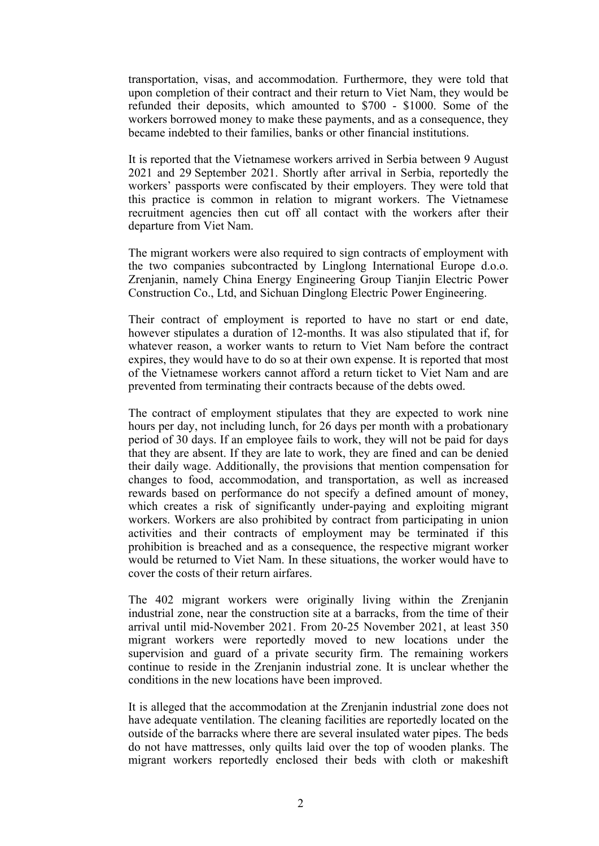transportation, visas, and accommodation. Furthermore, they were told that upon completion of their contract and their return to Viet Nam, they would be refunded their deposits, which amounted to \$700 - \$1000. Some of the workers borrowed money to make these payments, and as <sup>a</sup> consequence, they became indebted to their families, banks or other financial institutions.

It is reported that the Vietnamese workers arrived in Serbia between 9 August 2021 and 29 September 2021. Shortly after arrival in Serbia, reportedly the workers' passports were confiscated by their employers. They were told that this practice is common in relation to migrant workers. The Vietnamese recruitment agencies then cut off all contact with the workers after their departure from Viet Nam.

The migrant workers were also required to sign contracts of employment with the two companies subcontracted by Linglong International Europe d.o.o. Zrenjanin, namely China Energy Engineering Group Tianjin Electric Power Construction Co., Ltd, and Sichuan Dinglong Electric Power Engineering.

Their contract of employment is reported to have no start or end date, however stipulates <sup>a</sup> duration of 12-months. It was also stipulated that if, for whatever reason, <sup>a</sup> worker wants to return to Viet Nam before the contract expires, they would have to do so at their own expense. It is reported that most of the Vietnamese workers cannot afford <sup>a</sup> return ticket to Viet Nam and are prevented from terminating their contracts because of the debts owed.

The contract of employment stipulates that they are expected to work nine hours per day, not including lunch, for 26 days per month with <sup>a</sup> probationary period of 30 days. If an employee fails to work, they will not be paid for days that they are absent. If they are late to work, they are fined and can be denied their daily wage. Additionally, the provisions that mention compensation for changes to food, accommodation, and transportation, as well as increased rewards based on performance do not specify <sup>a</sup> defined amount of money, which creates a risk of significantly under-paying and exploiting migrant workers. Workers are also prohibited by contract from participating in union activities and their contracts of employment may be terminated if this prohibition is breached and as <sup>a</sup> consequence, the respective migrant worker would be returned to Viet Nam. In these situations, the worker would have to cover the costs of their return airfares.

The 402 migrant workers were originally living within the Zrenjanin industrial zone, near the construction site at <sup>a</sup> barracks, from the time of their arrival until mid-November 2021. From 20-25 November 2021, at least 350 migrant workers were reportedly moved to new locations under the supervision and guard of <sup>a</sup> private security firm. The remaining workers continue to reside in the Zrenjanin industrial zone. It is unclear whether the conditions in the new locations have been improved.

It is alleged that the accommodation at the Zrenjanin industrial zone does not have adequate ventilation. The cleaning facilities are reportedly located on the outside of the barracks where there are several insulated water pipes. The beds do not have mattresses, only quilts laid over the top of wooden planks. The migrant workers reportedly enclosed their beds with cloth or makeshift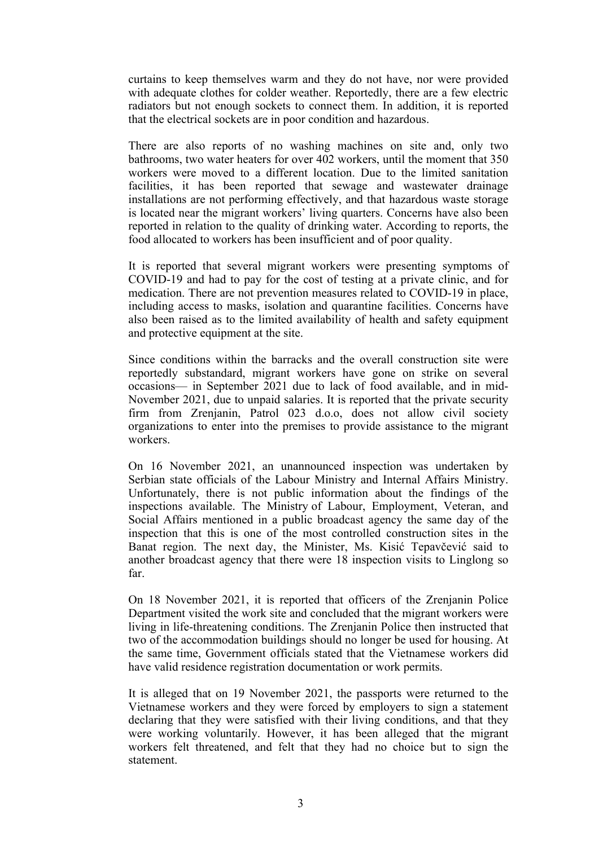curtains to keep themselves warm and they do not have, nor were provided with adequate clothes for colder weather. Reportedly, there are <sup>a</sup> few electric radiators but not enough sockets to connect them. In addition, it is reported that the electrical sockets are in poor condition and hazardous.

There are also reports of no washing machines on site and, only two bathrooms, two water heaters for over 402 workers, until the moment that 350 workers were moved to <sup>a</sup> different location. Due to the limited sanitation facilities, it has been reported that sewage and wastewater drainage installations are not performing effectively, and that hazardous waste storage is located near the migrant workers' living quarters. Concerns have also been reported in relation to the quality of drinking water. According to reports, the food allocated to workers has been insufficient and of poor quality.

It is reported that several migrant workers were presenting symptoms of COVID-19 and had to pay for the cost of testing at <sup>a</sup> private clinic, and for medication. There are not prevention measures related to COVID-19 in place, including access to masks, isolation and quarantine facilities. Concerns have also been raised as to the limited availability of health and safety equipment and protective equipment at the site.

Since conditions within the barracks and the overall construction site were reportedly substandard, migrant workers have gone on strike on several occasions— in September 2021 due to lack of food available, and in mid-November 2021, due to unpaid salaries. It is reported that the private security firm from Zrenjanin, Patrol 023 d.o.o, does not allow civil society organizations to enter into the premises to provide assistance to the migrant workers.

On 16 November 2021, an unannounced inspection was undertaken by Serbian state officials of the Labour Ministry and Internal Affairs Ministry. Unfortunately, there is not public information about the findings of the inspections available. The Ministry of Labour, Employment, Veteran, and Social Affairs mentioned in <sup>a</sup> public broadcast agency the same day of the inspection that this is one of the most controlled construction sites in the Banat region. The next day, the Minister, Ms. Kisić Tepavčević said to another broadcast agency that there were 18 inspection visits to Linglong so far.

On 18 November 2021, it is reported that officers of the Zrenjanin Police Department visited the work site and concluded that the migrant workers were living in life-threatening conditions. The Zrenjanin Police then instructed that two of the accommodation buildings should no longer be used for housing. At the same time, Government officials stated that the Vietnamese workers did have valid residence registration documentation or work permits.

It is alleged that on 19 November 2021, the passports were returned to the Vietnamese workers and they were forced by employers to sign <sup>a</sup> statement declaring that they were satisfied with their living conditions, and that they were working voluntarily. However, it has been alleged that the migrant workers felt threatened, and felt that they had no choice but to sign the statement.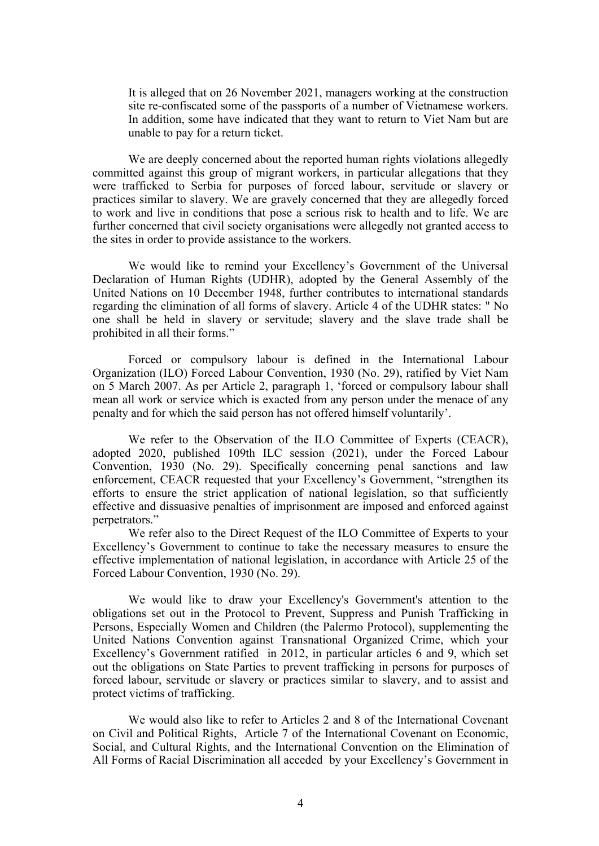It is alleged that on 26 November 2021, managers working at the construction site re-confiscated some of the passports of <sup>a</sup> number of Vietnamese workers. In addition, some have indicated that they want to return to Viet Nam but are unable to pay for <sup>a</sup> return ticket.

We are deeply concerned about the reported human rights violations allegedly committed against this group of migrant workers, in particular allegations that they were trafficked to Serbia for purposes of forced labour, servitude or slavery or practices similar to slavery. We are gravely concerned that they are allegedly forced to work and live in conditions that pose <sup>a</sup> serious risk to health and to life. We are further concerned that civil society organisations were allegedly not granted access to the sites in order to provide assistance to the workers.

We would like to remind your Excellency'<sup>s</sup> Government of the Universal Declaration of Human Rights (UDHR), adopted by the General Assembly of the United Nations on 10 December 1948, further contributes to international standards regarding the elimination of all forms of slavery. Article 4 of the UDHR states: " No one shall be held in slavery or servitude; slavery and the slave trade shall be prohibited in all their forms."

Forced or compulsory labour is defined in the International Labour Organization (ILO) Forced Labour Convention, 1930 (No. 29), ratified by Viet Nam on 5 March 2007. As per Article 2, paragraph 1, 'forced or compulsory labour shall mean all work or service which is exacted from any person under the menace of any penalty and for which the said person has not offered himself voluntarily'.

We refer to the Observation of the ILO Committee of Experts (CEACR), adopted 2020, published 109th ILC session (2021), under the Forced Labour Convention, 1930 (No. 29). Specifically concerning penal sanctions and law enforcement, CEACR requested that your Excellency'<sup>s</sup> Government, "strengthen its efforts to ensure the strict application of national legislation, so that sufficiently effective and dissuasive penalties of imprisonment are imposed and enforced against perpetrators."

We refer also to the Direct Request of the ILO Committee of Experts to your Excellency'<sup>s</sup> Government to continue to take the necessary measures to ensure the effective implementation of national legislation, in accordance with Article 25 of the Forced Labour Convention, 1930 (No. 29).

We would like to draw your Excellency's Government's attention to the obligations set out in the Protocol to Prevent, Suppress and Punish Trafficking in Persons, Especially Women and Children (the Palermo Protocol), supplementing the United Nations Convention against Transnational Organized Crime, which your Excellency'<sup>s</sup> Government ratified in 2012, in particular articles 6 and 9, which set out the obligations on State Parties to preven<sup>t</sup> trafficking in persons for purposes of forced labour, servitude or slavery or practices similar to slavery, and to assist and protect victims of trafficking.

We would also like to refer to Articles 2 and 8 of the International Covenant on Civil and Political Rights, Article 7 of the International Covenant on Economic, Social, and Cultural Rights, and the International Convention on the Elimination of All Forms of Racial Discrimination all acceded by your Excellency'<sup>s</sup> Government in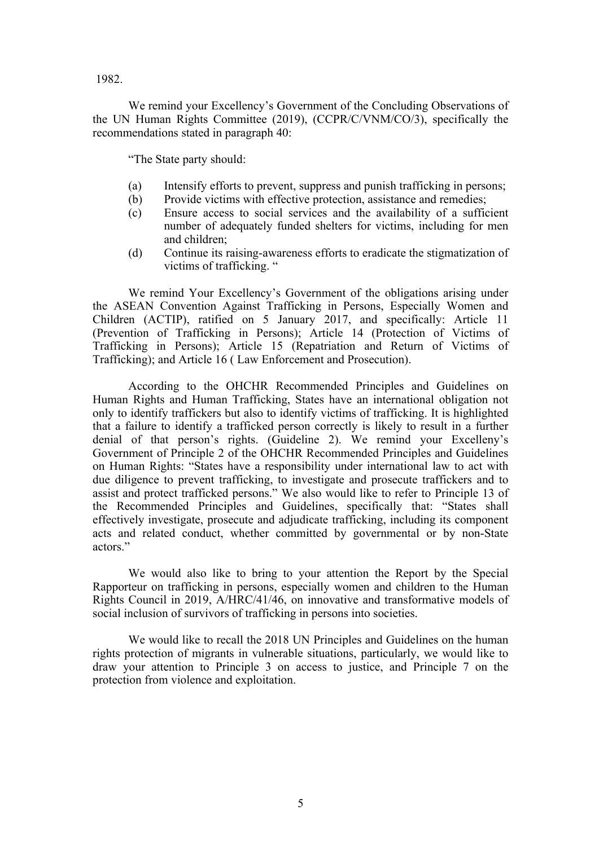1982.

We remind your Excellency'<sup>s</sup> Government of the Concluding Observations of the UN Human Rights Committee (2019), (CCPR/C/VNM/CO/3), specifically the recommendations stated in paragraph 40:

"The State party should:

- (a) Intensify efforts to prevent, suppress and punish trafficking in persons;
- (b) Provide victims with effective protection, assistance and remedies;
- (c) Ensure access to social services and the availability of <sup>a</sup> sufficient number of adequately funded shelters for victims, including for men and children;
- (d) Continue its raising-awareness efforts to eradicate the stigmatization of victims of trafficking. "

We remind Your Excellency'<sup>s</sup> Government of the obligations arising under the ASEAN Convention Against Trafficking in Persons, Especially Women and Children (ACTIP), ratified on 5 January 2017, and specifically: Article 11 (Prevention of Trafficking in Persons); Article 14 (Protection of Victims of Trafficking in Persons); Article 15 (Repatriation and Return of Victims of Trafficking); and Article 16 ( Law Enforcement and Prosecution).

According to the OHCHR Recommended Principles and Guidelines on Human Rights and Human Trafficking, States have an international obligation not only to identify traffickers but also to identify victims of trafficking. It is highlighted that <sup>a</sup> failure to identify <sup>a</sup> trafficked person correctly is likely to result in <sup>a</sup> further denial of that person'<sup>s</sup> rights. (Guideline 2). We remind your Excelleny'<sup>s</sup> Government of Principle 2 of the OHCHR Recommended Principles and Guidelines on Human Rights: "States have <sup>a</sup> responsibility under international law to act with due diligence to preven<sup>t</sup> trafficking, to investigate and prosecute traffickers and to assist and protect trafficked persons." We also would like to refer to Principle 13 of the Recommended Principles and Guidelines, specifically that: "States shall effectively investigate, prosecute and adjudicate trafficking, including its componen<sup>t</sup> acts and related conduct, whether committed by governmental or by non-State actors."

We would also like to bring to your attention the Report by the Special Rapporteur on trafficking in persons, especially women and children to the Human Rights Council in 2019, A/HRC/41/46, on innovative and transformative models of social inclusion of survivors of trafficking in persons into societies.

We would like to recall the 2018 UN Principles and Guidelines on the human rights protection of migrants in vulnerable situations, particularly, we would like to draw your attention to Principle 3 on access to justice, and Principle 7 on the protection from violence and exploitation.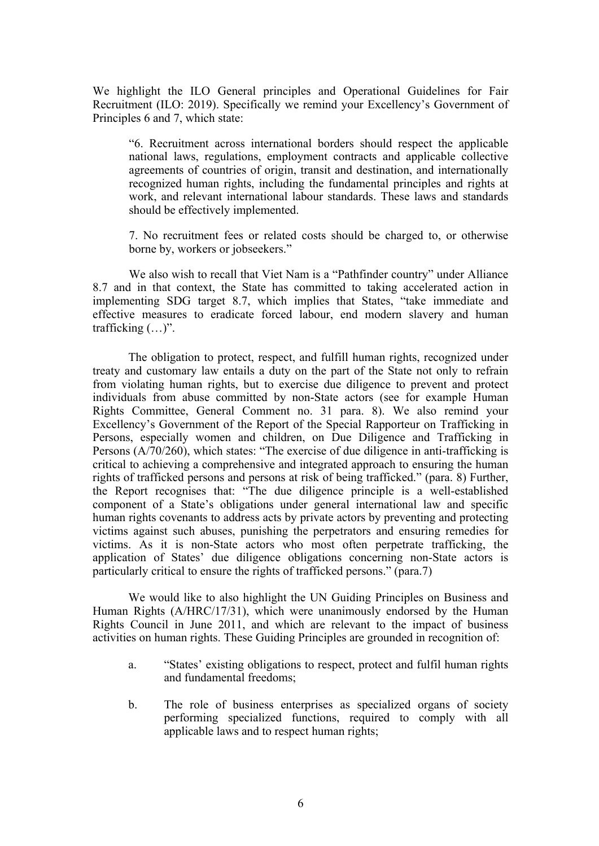We highlight the ILO General principles and Operational Guidelines for Fair Recruitment (ILO: 2019). Specifically we remind your Excellency'<sup>s</sup> Government of Principles 6 and 7, which state:

"6. Recruitment across international borders should respec<sup>t</sup> the applicable national laws, regulations, employment contracts and applicable collective agreements of countries of origin, transit and destination, and internationally recognized human rights, including the fundamental principles and rights at work, and relevant international labour standards. These laws and standards should be effectively implemented.

7. No recruitment fees or related costs should be charged to, or otherwise borne by, workers or jobseekers."

We also wish to recall that Viet Nam is <sup>a</sup> "Pathfinder country" under Alliance 8.7 and in that context, the State has committed to taking accelerated action in implementing SDG target 8.7, which implies that States, "take immediate and effective measures to eradicate forced labour, end modern slavery and human trafficking (…)".

The obligation to protect, respect, and fulfill human rights, recognized under treaty and customary law entails <sup>a</sup> duty on the par<sup>t</sup> of the State not only to refrain from violating human rights, but to exercise due diligence to preven<sup>t</sup> and protect individuals from abuse committed by non-State actors (see for example Human Rights Committee, General Comment no. 31 para. 8). We also remind your Excellency'<sup>s</sup> Government of the Report of the Special Rapporteur on Trafficking in Persons, especially women and children, on Due Diligence and Trafficking in Persons (A/70/260), which states: "The exercise of due diligence in anti-trafficking is critical to achieving <sup>a</sup> comprehensive and integrated approach to ensuring the human rights of trafficked persons and persons at risk of being trafficked." (para. 8) Further, the Report recognises that: "The due diligence principle is <sup>a</sup> well-established componen<sup>t</sup> of <sup>a</sup> State'<sup>s</sup> obligations under general international law and specific human rights covenants to address acts by private actors by preventing and protecting victims against such abuses, punishing the perpetrators and ensuring remedies for victims. As it is non-State actors who most often perpetrate trafficking, the application of States' due diligence obligations concerning non-State actors is particularly critical to ensure the rights of trafficked persons." (para.7)

We would like to also highlight the UN Guiding Principles on Business and Human Rights (A/HRC/17/31), which were unanimously endorsed by the Human Rights Council in June 2011, and which are relevant to the impact of business activities on human rights. These Guiding Principles are grounded in recognition of:

- a. "States' existing obligations to respect, protect and fulfil human rights and fundamental freedoms;
- b. The role of business enterprises as specialized organs of society performing specialized functions, required to comply with all applicable laws and to respec<sup>t</sup> human rights;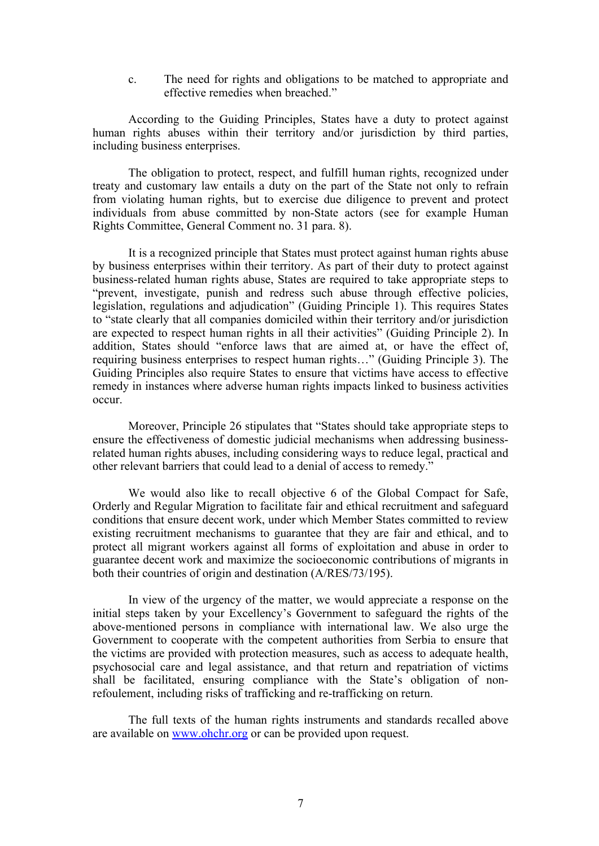c. The need for rights and obligations to be matched to appropriate and effective remedies when breached."

According to the Guiding Principles, States have <sup>a</sup> duty to protect against human rights abuses within their territory and/or jurisdiction by third parties, including business enterprises.

The obligation to protect, respect, and fulfill human rights, recognized under treaty and customary law entails <sup>a</sup> duty on the par<sup>t</sup> of the State not only to refrain from violating human rights, but to exercise due diligence to preven<sup>t</sup> and protect individuals from abuse committed by non-State actors (see for example Human Rights Committee, General Comment no. 31 para. 8).

It is <sup>a</sup> recognized principle that States must protect against human rights abuse by business enterprises within their territory. As par<sup>t</sup> of their duty to protect against business-related human rights abuse, States are required to take appropriate steps to "prevent, investigate, punish and redress such abuse through effective policies, legislation, regulations and adjudication" (Guiding Principle 1). This requires States to "state clearly that all companies domiciled within their territory and/or jurisdiction are expected to respec<sup>t</sup> human rights in all their activities" (Guiding Principle 2). In addition, States should "enforce laws that are aimed at, or have the effect of, requiring business enterprises to respec<sup>t</sup> human rights…" (Guiding Principle 3). The Guiding Principles also require States to ensure that victims have access to effective remedy in instances where adverse human rights impacts linked to business activities occur.

Moreover, Principle 26 stipulates that "States should take appropriate steps to ensure the effectiveness of domestic judicial mechanisms when addressing businessrelated human rights abuses, including considering ways to reduce legal, practical and other relevant barriers that could lead to <sup>a</sup> denial of access to remedy."

We would also like to recall objective 6 of the Global Compact for Safe, Orderly and Regular Migration to facilitate fair and ethical recruitment and safeguard conditions that ensure decent work, under which Member States committed to review existing recruitment mechanisms to guarantee that they are fair and ethical, and to protect all migrant workers against all forms of exploitation and abuse in order to guarantee decent work and maximize the socioeconomic contributions of migrants in both their countries of origin and destination (A/RES/73/195).

In view of the urgency of the matter, we would appreciate <sup>a</sup> response on the initial steps taken by your Excellency'<sup>s</sup> Government to safeguard the rights of the above-mentioned persons in compliance with international law. We also urge the Government to cooperate with the competent authorities from Serbia to ensure that the victims are provided with protection measures, such as access to adequate health, psychosocial care and legal assistance, and that return and repatriation of victims shall be facilitated, ensuring compliance with the State'<sup>s</sup> obligation of nonrefoulement, including risks of trafficking and re-trafficking on return.

The full texts of the human rights instruments and standards recalled above are available on [www.ohchr.org](http://www.ohchr.org) or can be provided upon request.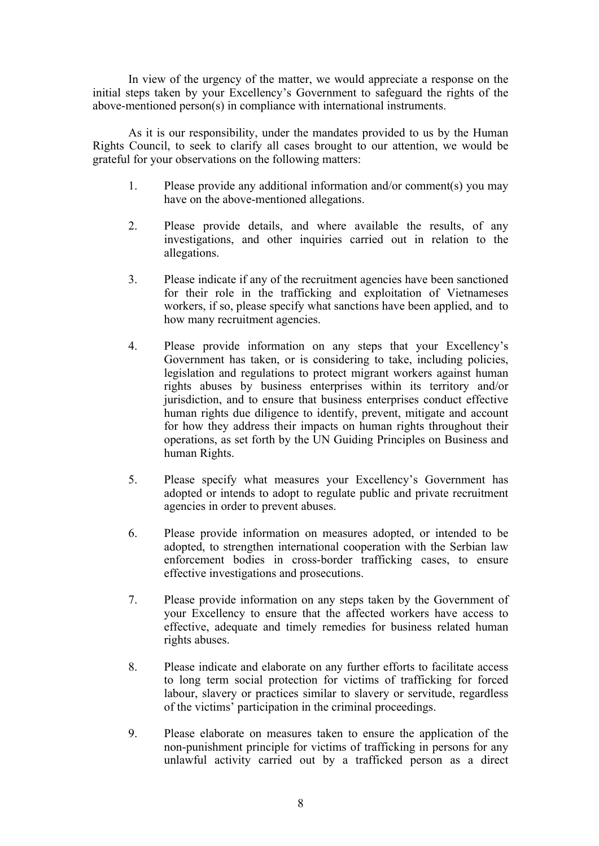In view of the urgency of the matter, we would appreciate <sup>a</sup> response on the initial steps taken by your Excellency'<sup>s</sup> Government to safeguard the rights of the above-mentioned person(s) in compliance with international instruments.

As it is our responsibility, under the mandates provided to us by the Human Rights Council, to seek to clarify all cases brought to our attention, we would be grateful for your observations on the following matters:

- 1. Please provide any additional information and/or comment(s) you may have on the above-mentioned allegations.
- 2. Please provide details, and where available the results, of any investigations, and other inquiries carried out in relation to the allegations.
- 3. Please indicate if any of the recruitment agencies have been sanctioned for their role in the trafficking and exploitation of Vietnameses workers, if so, please specify what sanctions have been applied, and to how many recruitment agencies.
- 4. Please provide information on any steps that your Excellency'<sup>s</sup> Government has taken, or is considering to take, including policies, legislation and regulations to protect migrant workers against human rights abuses by business enterprises within its territory and/or jurisdiction, and to ensure that business enterprises conduct effective human rights due diligence to identify, prevent, mitigate and account for how they address their impacts on human rights throughout their operations, as set forth by the UN Guiding Principles on Business and human Rights.
- 5. Please specify what measures your Excellency'<sup>s</sup> Government has adopted or intends to adopt to regulate public and private recruitment agencies in order to preven<sup>t</sup> abuses.
- 6. Please provide information on measures adopted, or intended to be adopted, to strengthen international cooperation with the Serbian law enforcement bodies in cross-border trafficking cases, to ensure effective investigations and prosecutions.
- 7. Please provide information on any steps taken by the Government of your Excellency to ensure that the affected workers have access to effective, adequate and timely remedies for business related human rights abuses.
- 8. Please indicate and elaborate on any further efforts to facilitate access to long term social protection for victims of trafficking for forced labour, slavery or practices similar to slavery or servitude, regardless of the victims' participation in the criminal proceedings.
- 9. Please elaborate on measures taken to ensure the application of the non-punishment principle for victims of trafficking in persons for any unlawful activity carried out by <sup>a</sup> trafficked person as <sup>a</sup> direct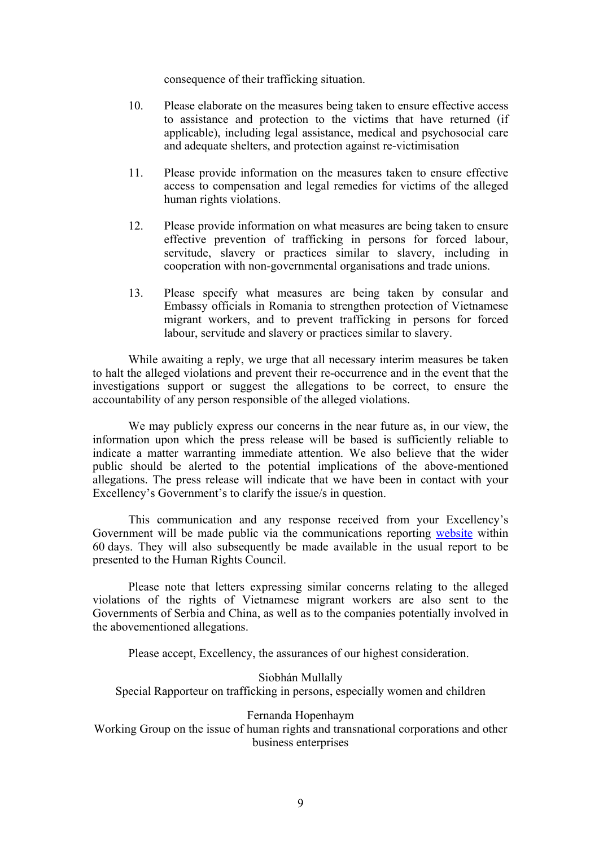consequence of their trafficking situation.

- 10. Please elaborate on the measures being taken to ensure effective access to assistance and protection to the victims that have returned (if applicable), including legal assistance, medical and psychosocial care and adequate shelters, and protection against re-victimisation
- 11. Please provide information on the measures taken to ensure effective access to compensation and legal remedies for victims of the alleged human rights violations.
- 12. Please provide information on what measures are being taken to ensure effective prevention of trafficking in persons for forced labour, servitude, slavery or practices similar to slavery, including in cooperation with non-governmental organisations and trade unions.
- 13. Please specify what measures are being taken by consular and Embassy officials in Romania to strengthen protection of Vietnamese migrant workers, and to preven<sup>t</sup> trafficking in persons for forced labour, servitude and slavery or practices similar to slavery.

While awaiting <sup>a</sup> reply, we urge that all necessary interim measures be taken to halt the alleged violations and preven<sup>t</sup> their re-occurrence and in the event that the investigations suppor<sup>t</sup> or sugges<sup>t</sup> the allegations to be correct, to ensure the accountability of any person responsible of the alleged violations.

We may publicly express our concerns in the near future as, in our view, the information upon which the press release will be based is sufficiently reliable to indicate <sup>a</sup> matter warranting immediate attention. We also believe that the wider public should be alerted to the potential implications of the above-mentioned allegations. The press release will indicate that we have been in contact with your Excellency'<sup>s</sup> Government'<sup>s</sup> to clarify the issue/s in question.

This communication and any response received from your Excellency'<sup>s</sup> Government will be made public via the communications reporting [website](https://spcommreports.ohchr.org/) within 60 days. They will also subsequently be made available in the usual repor<sup>t</sup> to be presented to the Human Rights Council.

Please note that letters expressing similar concerns relating to the alleged violations of the rights of Vietnamese migrant workers are also sent to the Governments of Serbia and China, as well as to the companies potentially involved in the abovementioned allegations.

Please accept, Excellency, the assurances of our highest consideration.

Siobhán Mullally Special Rapporteur on trafficking in persons, especially women and children

## Fernanda Hopenhaym

Working Group on the issue of human rights and transnational corporations and other business enterprises